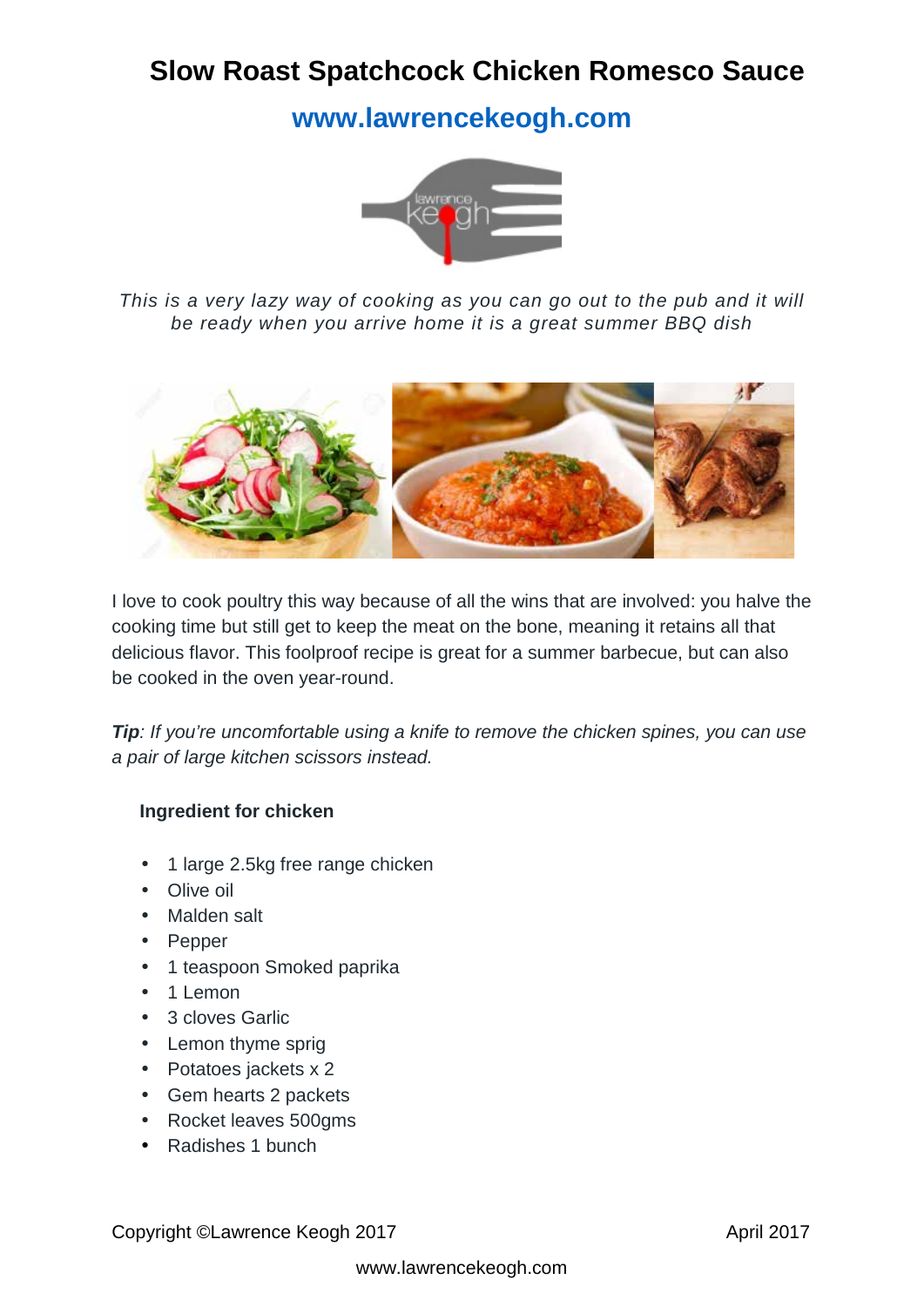# **Slow Roast Spatchcock Chicken Romesco Sauce**

**[www.lawrencekeogh.com](http://www.lawrencekeogh.com/)**



*This is a very lazy way of cooking as you can go out to the pub and it will be ready when you arrive home it is a great summer BBQ dish*



I love to cook poultry this way because of all the wins that are involved: you halve the cooking time but still get to keep the meat on the bone, meaning it retains all that delicious flavor. This foolproof recipe is great for a summer barbecue, but can also be cooked in the oven year-round.

*Tip: If you're uncomfortable using a knife to remove the chicken spines, you can use a pair of large kitchen scissors instead.*

#### **Ingredient for chicken**

- 1 large 2.5kg free range chicken  $\mathcal{L}^{(1)}$  .
- Olive oil
- Malden salt in.
- Pepper
- 1 teaspoon Smoked paprika  $\mathcal{L}^{\text{max}}$
- 1 Lemon
- 3 cloves Garlic in 1
- . Lemon thyme sprig
- $\mathcal{L}^{(1)}$ Potatoes jackets x 2
- Gem hearts 2 packets  $\mathcal{L}^{(1)}$
- Rocket leaves 500gms  $\mathcal{L}^{\text{max}}$
- Radishes 1 bunch $\mathbb{R}^{\mathbb{Z}^2}$

Copyright ©Lawrence Keogh 2017 April 2017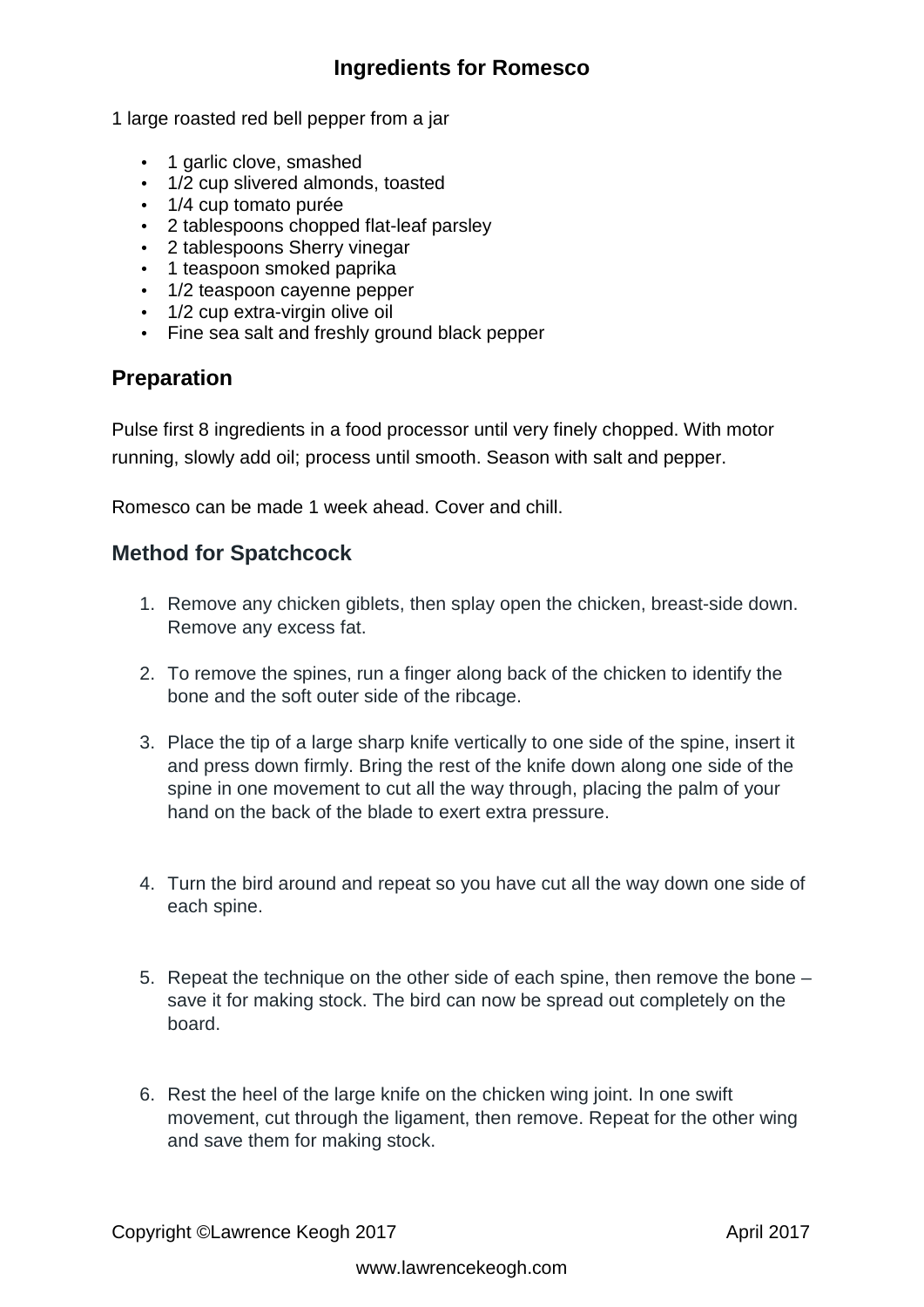## **Ingredients for Romesco**

1 large roasted red bell pepper from a jar

- 1 garlic clove, smashed
- $1/2$  cup slivered almonds, toasted
- 1/4 cup tomato purée
- 2 tablespoons chopped flat-leaf parsley
- 2 tablespoons Sherry vinegar
- 1 teaspoon smoked paprika
- . 1/2 teaspoon cayenne pepper
- 1/2 cup extra-virgin olive oil
- Fine sea salt and freshly ground black pepper

#### **Preparation**

Pulse first 8 ingredients in a food processor until very finely chopped. With motor running, slowly add oil; process until smooth. Season with salt and pepper.

Romesco can be made 1 week ahead. Cover and chill.

### **Method for Spatchcock**

- 1. Remove any chicken giblets, then splay open the chicken, breast-side down. Remove any excess fat.
- 2. To remove the spines, run a finger along back of the chicken to identify the bone and the soft outer side of the ribcage.
- 3. Place the tip of a large sharp knife vertically to one side of the spine, insert it and press down firmly. Bring the rest of the knife down along one side of the spine in one movement to cut all the way through, placing the palm of your hand on the back of the blade to exert extra pressure.
- 4. Turn the bird around and repeat so you have cut all the way down one side of each spine.
- 5. Repeat the technique on the other side of each spine, then remove the bone save it for making stock. The bird can now be spread out completely on the board.
- 6. Rest the heel of the large knife on the chicken wing joint. In one swift movement, cut through the ligament, then remove. Repeat for the other wing and save them for making stock.